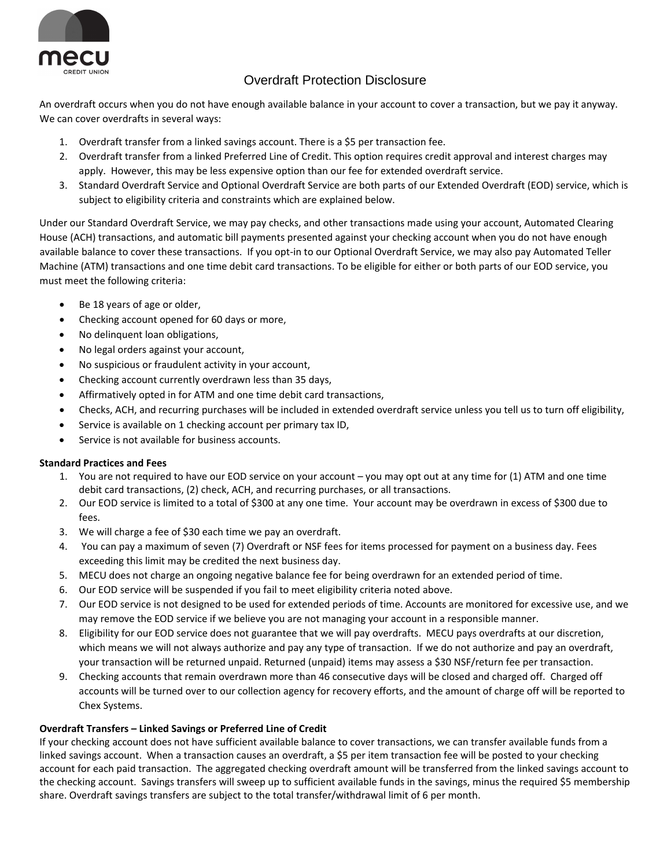

# Overdraft Protection Disclosure

 An overdraft occurs when you do not have enough available balance in your account to cover a transaction, but we pay it anyway. We can cover overdrafts in several ways:

- 1. Overdraft transfer from a linked savings account. There is a \$5 per transaction fee.
- 2. Overdraft transfer from a linked Preferred Line of Credit. This option requires credit approval and interest charges may apply. However, this may be less expensive option than our fee for extended overdraft service.
- 3. Standard Overdraft Service and Optional Overdraft Service are both parts of our Extended Overdraft (EOD) service, which is subject to eligibility criteria and constraints which are explained below.

 Under our Standard Overdraft Service, we may pay checks, and other transactions made using your account, Automated Clearing House (ACH) transactions, and automatic bill payments presented against your checking account when you do not have enough available balance to cover these transactions. If you opt‐in to our Optional Overdraft Service, we may also pay Automated Teller Machine (ATM) transactions and one time debit card transactions. To be eligible for either or both parts of our EOD service, you must meet the following criteria:

- Be 18 years of age or older,
- Checking account opened for 60 days or more,
- No delinquent loan obligations,
- No legal orders against your account,
- No suspicious or fraudulent activity in your account,
- Checking account currently overdrawn less than 35 days,
- Affirmatively opted in for ATM and one time debit card transactions,
- Checks, ACH, and recurring purchases will be included in extended overdraft service unless you tell us to turn off eligibility,
- **Service is available on 1 checking account per primary tax ID,**
- Service is not available for business accounts.

## **Standard Practices and Fees**

- 1. You are not required to have our EOD service on your account you may opt out at any time for (1) ATM and one time debit card transactions, (2) check, ACH, and recurring purchases, or all transactions.
- 2. Our EOD service is limited to a total of \$300 at any one time. Your account may be overdrawn in excess of \$300 due to fees.
- 3. We will charge a fee of \$30 each time we pay an overdraft.
- 4. You can pay a maximum of seven (7) Overdraft or NSF fees for items processed for payment on a business day. Fees exceeding this limit may be credited the next business day.
- 5. MECU does not charge an ongoing negative balance fee for being overdrawn for an extended period of time.
- 6. Our EOD service will be suspended if you fail to meet eligibility criteria noted above.
- 7. Our EOD service is not designed to be used for extended periods of time. Accounts are monitored for excessive use, and we may remove the EOD service if we believe you are not managing your account in a responsible manner.
- 8. Eligibility for our EOD service does not guarantee that we will pay overdrafts. MECU pays overdrafts at our discretion, which means we will not always authorize and pay any type of transaction. If we do not authorize and pay an overdraft, your transaction will be returned unpaid. Returned (unpaid) items may assess a \$30 NSF/return fee per transaction.
- 9. Checking accounts that remain overdrawn more than 46 consecutive days will be closed and charged off. Charged off accounts will be turned over to our collection agency for recovery efforts, and the amount of charge off will be reported to Chex Systems.

## **Overdraft Transfers – Linked Savings or Preferred Line of Credit**

 If your checking account does not have sufficient available balance to cover transactions, we can transfer available funds from a linked savings account. When a transaction causes an overdraft, a \$5 per item transaction fee will be posted to your checking account for each paid transaction. The aggregated checking overdraft amount will be transferred from the linked savings account to the checking account. Savings transfers will sweep up to sufficient available funds in the savings, minus the required \$5 membership share. Overdraft savings transfers are subject to the total transfer/withdrawal limit of 6 per month.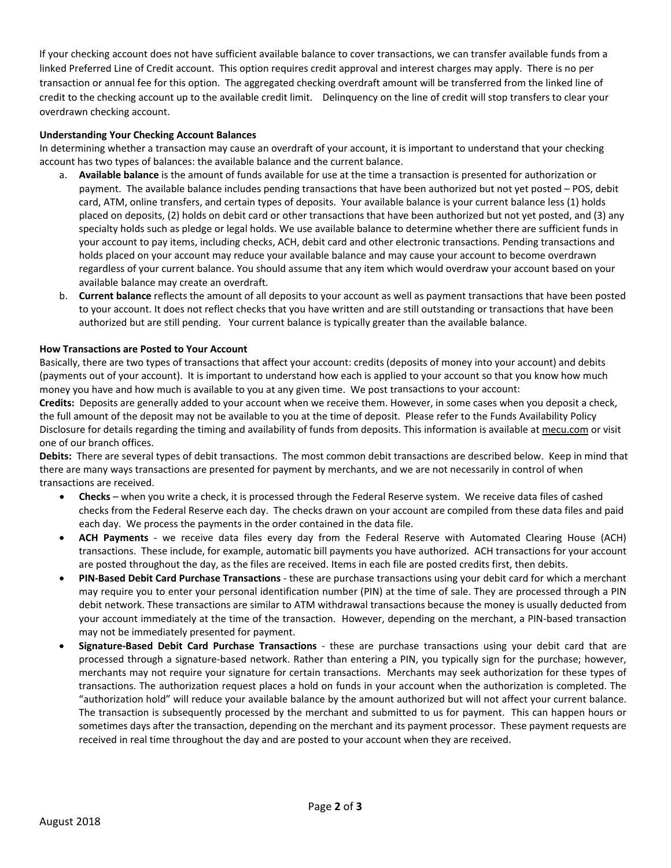If your checking account does not have sufficient available balance to cover transactions, we can transfer available funds from a linked Preferred Line of Credit account. This option requires credit approval and interest charges may apply. There is no per transaction or annual fee for this option. The aggregated checking overdraft amount will be transferred from the linked line of credit to the checking account up to the available credit limit. Delinquency on the line of credit will stop transfers to clear your overdrawn checking account.

#### **Understanding Your Checking Account Balances**

 In determining whether a transaction may cause an overdraft of your account, it is important to understand that your checking account has two types of balances: the available balance and the current balance.

- a. **Available balance** is the amount of funds available for use at the time a transaction is presented for authorization or payment. The available balance includes pending transactions that have been authorized but not yet posted – POS, debit card, ATM, online transfers, and certain types of deposits. Your available balance is your current balance less (1) holds placed on deposits, (2) holds on debit card or other transactions that have been authorized but not yet posted, and (3) any specialty holds such as pledge or legal holds. We use available balance to determine whether there are sufficient funds in your account to pay items, including checks, ACH, debit card and other electronic transactions. Pending transactions and holds placed on your account may reduce your available balance and may cause your account to become overdrawn regardless of your current balance. You should assume that any item which would overdraw your account based on your available balance may create an overdraft.
- b. **Current balance** reflects the amount of all deposits to your account as well as payment transactions that have been posted to your account. It does not reflect checks that you have written and are still outstanding or transactions that have been authorized but are still pending. Your current balance is typically greater than the available balance.

#### **How Transactions are Posted to Your Account**

 Basically, there are two types of transactions that affect your account: credits (deposits of money into your account) and debits (payments out of your account). It is important to understand how each is applied to your account so that you know how much money you have and how much is available to you at any given time. We post transactions to your account:

 **Credits:** Deposits are generally added to your account when we receive them. However, in some cases when you deposit a check, the full amount of the deposit may not be available to you at the time of deposit. Please refer to the Funds Availability Policy Disclosure for details regarding the timing and availability of funds from deposits. This information is available at mecu.com or visit one of our branch offices.

 **Debits:** There are several types of debit transactions. The most common debit transactions are described below. Keep in mind that there are many ways transactions are presented for payment by merchants, and we are not necessarily in control of when transactions are received.

- **Checks** when you write a check, it is processed through the Federal Reserve system. We receive data files of cashed checks from the Federal Reserve each day. The checks drawn on your account are compiled from these data files and paid each day. We process the payments in the order contained in the data file.
- **ACH Payments** ‐ we receive data files every day from the Federal Reserve with Automated Clearing House (ACH) transactions. These include, for example, automatic bill payments you have authorized. ACH transactions for your account are posted throughout the day, as the files are received. Items in each file are posted credits first, then debits.
- **PIN‐Based Debit Card Purchase Transactions** ‐ these are purchase transactions using your debit card for which a merchant may require you to enter your personal identification number (PIN) at the time of sale. They are processed through a PIN debit network. These transactions are similar to ATM withdrawal transactions because the money is usually deducted from your account immediately at the time of the transaction. However, depending on the merchant, a PIN‐based transaction may not be immediately presented for payment.
- **Signature‐Based Debit Card Purchase Transactions** ‐ these are purchase transactions using your debit card that are processed through a signature‐based network. Rather than entering a PIN, you typically sign for the purchase; however, merchants may not require your signature for certain transactions. Merchants may seek authorization for these types of transactions. The authorization request places a hold on funds in your account when the authorization is completed. The "authorization hold" will reduce your available balance by the amount authorized but will not affect your current balance. The transaction is subsequently processed by the merchant and submitted to us for payment. This can happen hours or sometimes days after the transaction, depending on the merchant and its payment processor. These payment requests are received in real time throughout the day and are posted to your account when they are received.